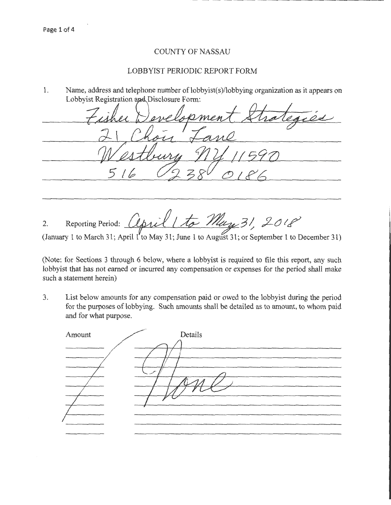## COUNTY OF NASSAU

## LOBBYIST PERIODIC REPORT FORM

1. Name, address and telephone number of lobbyist(s)/lobbying organization as it appears on Lobbyist Registration and Disclosure Form:

5/t

2. Reporting Period: *april 1 to May 31, 2018* 

(January 1 to March 31; April 1'to May 31; June 1 to August 31; or September 1 to December 31)

(Note: for Sections 3 through 6 below, where a lobbyist is required to file this report, any such lobbyist that has not earned or incurred any compensation or expenses for the period shall make such a statement herein)

3. List below amounts for any compensation paid or owed to the lobbyist during the period for the purposes of lobbying. Such amounts shall be detailed as to amount, to whom paid and for what purpose.

| Amount | Details |
|--------|---------|
|        |         |
|        |         |
|        |         |
|        |         |
|        |         |
|        |         |
|        |         |
|        |         |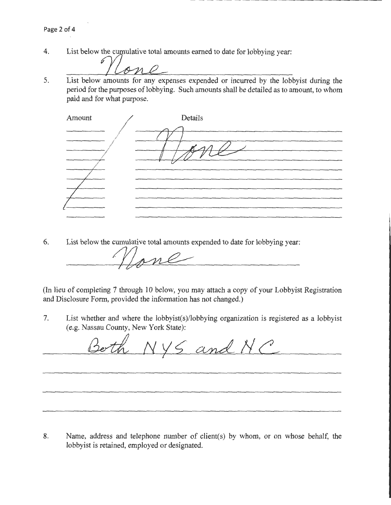4. List below the cumulative total amounts earned to date for lobbying year:

5. List below amounts for any expenses expended or incurred by the lobbyist during the period for the purposes of lobbying. Such amounts shall be detailed as to amount, to whom paid and for what purpose.

| Amount | Details |
|--------|---------|
|        |         |
|        |         |
|        |         |
|        |         |
|        |         |
|        |         |
|        |         |

6. List below the cumulative total amounts expended to date for lobbying year:

cumulative total amounts expended to date for lobbying

(In lieu of completing 7 through 10 below, you may attach a copy of your Lobbyist Registration and Disclosure Form, provided the information has not changed.)

7. List whether and where the lobbyist(s)/lobbying organization is registered as a lobbyist (e.g. Nassau County, New York State):

Both NYS and NC

8. Name, address and telephone number of client(s) by whom, or on whose behalf, the lobbyist is retained, employed or designated.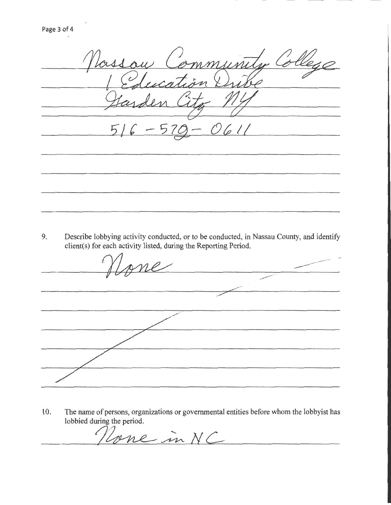Vassau Community College C<br>C ucation  $\%$  $5/6$  -570 - O611 

9. Describe lobbying activity conducted, or to be conducted, in Nassau County, and identify client( s) for each activity listed, during the Reporting Period.

bying activity conducted, or to be conducted,<br>each activity listed, during the Reporting Peric<br>
MANG

10. The name of persons, organizations or governmental entities before whom the lobbyist has lobbied during the period.

Tone in NC